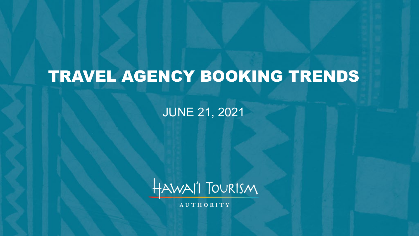# TRAVEL AGENCY BOOKING TRENDS

JUNE 21, 2021



**AUTHORITY**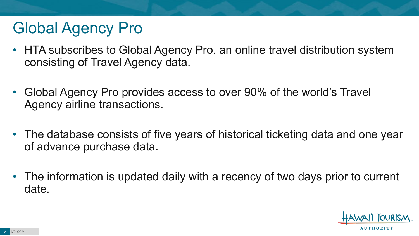### Global Agency Pro

- HTA subscribes to Global Agency Pro, an online travel distribution system consisting of Travel Agency data.
- Global Agency Pro provides access to over 90% of the world's Travel Agency airline transactions.
- The database consists of five years of historical ticketing data and one year of advance purchase data.
- The information is updated daily with a recency of two days prior to current date.

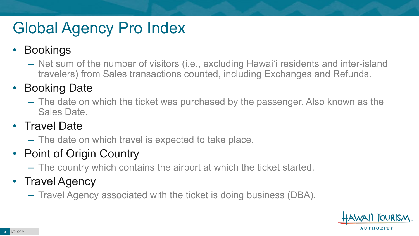## Global Agency Pro Index

#### • Bookings

– Net sum of the number of visitors (i.e., excluding Hawai'i residents and inter-island travelers) from Sales transactions counted, including Exchanges and Refunds.

#### • Booking Date

– The date on which the ticket was purchased by the passenger. Also known as the Sales Date.

#### • Travel Date

– The date on which travel is expected to take place.

#### • Point of Origin Country

– The country which contains the airport at which the ticket started.

#### • Travel Agency

– Travel Agency associated with the ticket is doing business (DBA).

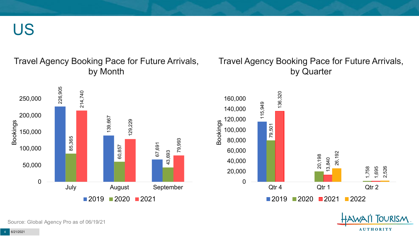US

#### Travel Agency Booking Pace for Future Arrivals, by Month

#### Travel Agency Booking Pace for Future Arrivals, by Quarter

1,695

**AUTHORITY** 

2,526

OURISM.



Source: Global Agency Pro as of 06/19/21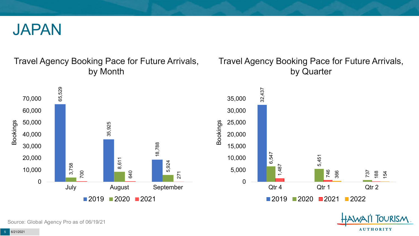

#### Travel Agency Booking Pace for Future Arrivals, by Month



#### Travel Agency Booking Pace for Future Arrivals, by Quarter



Source: Global Agency Pro as of 06/19/21

5 6/21/2021

**AUTHORITY** 

**OURISM**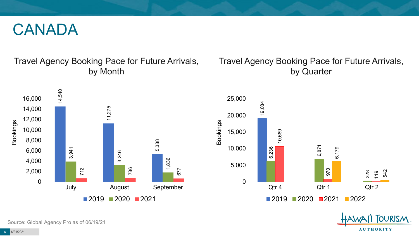#### CANADA

#### Travel Agency Booking Pace for Future Arrivals, by Month

#### Travel Agency Booking Pace for Future Arrivals, by Quarter





**TOURISM** 

**AUTHORITY** 

Source: Global Agency Pro as of 06/19/21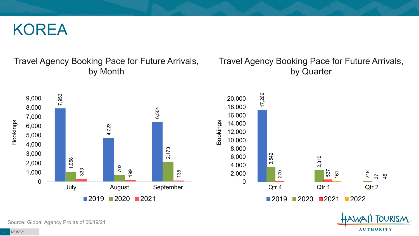#### KOREA

#### Travel Agency Booking Pace for Future Arrivals, by Month

#### Travel Agency Booking Pace for Future Arrivals, by Quarter

**FOURISM** 

**AUTHORITY** 



Source: Global Agency Pro as of 06/19/21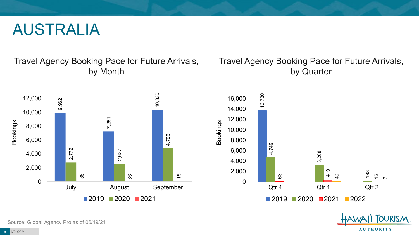#### AUSTRALIA

Travel Agency Booking Pace for Future Arrivals, by Month



#### Travel Agency Booking Pace for Future Arrivals, by Quarter



OURISM.

**AUTHORITY** 

Source: Global Agency Pro as of 06/19/21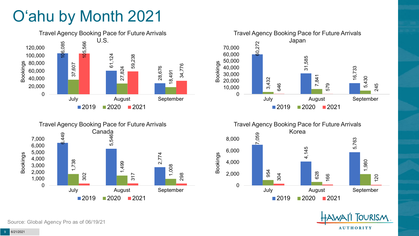## O'ahu by Month 2021



Travel Agency Booking Pace for Future Arrivals

Canada

1,008

298



60,272

60,000 70,000

Travel Agency Booking Pace for Future Arrivals Japan

 $2019$  2020 2021

July August September



245

120

6,449 5,54 2,774 1,738 1,499 302 317  $\Omega$ 1,000 2,000 3,000 4,000 5,000 6,000 7,000 July August September Bookings  $2019$  2020 2021

Source: Global Agency Pro as of 06/19/21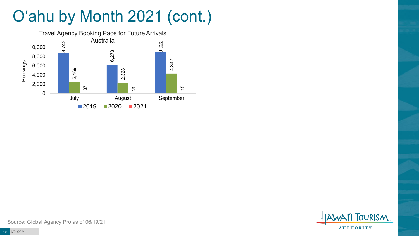## O'ahu by Month 2021 (cont.)



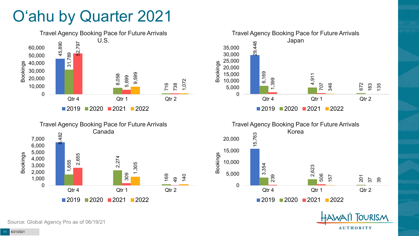#### O'ahu by Quarter 2021









**TOURISM** 

**AUTHORITY** 

Source: Global Agency Pro as of 06/19/21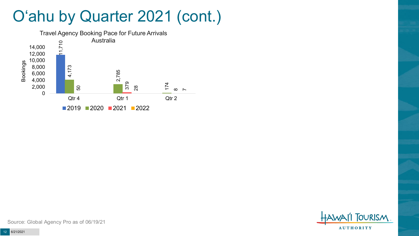#### O'ahu by Quarter 2021 (cont.)



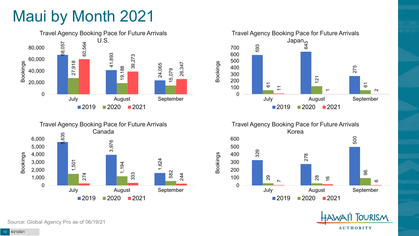### Maui by Month 2021







Travel Agency Booking Pace for Future Arrivals Korea 329 278 500 29 28 96  $\overline{\phantom{0}}$  $\frac{6}{1}$  $\circ$ 0 100 200 300 400 500 600 July August September  $2019$  2020 2021

Bookings



Source: Global Agency Pro as of 06/19/21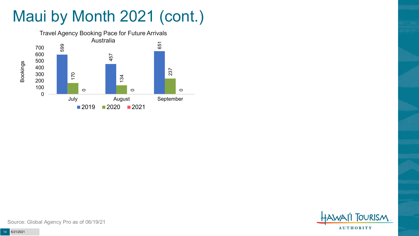# Maui by Month 2021 (cont.)



**TOURISM AUTHORITY**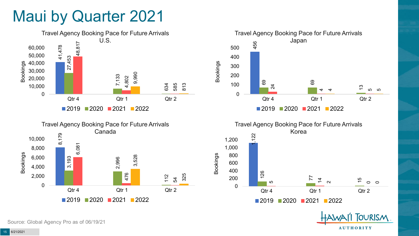#### Maui by Quarter 2021









**FOURISM** 

**AUTHORITY** 

Source: Global Agency Pro as of 06/19/21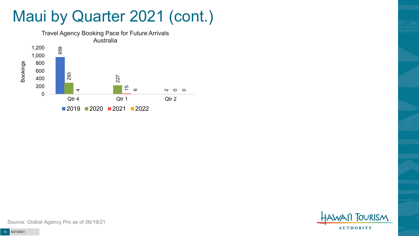#### Maui by Quarter 2021 (cont.)



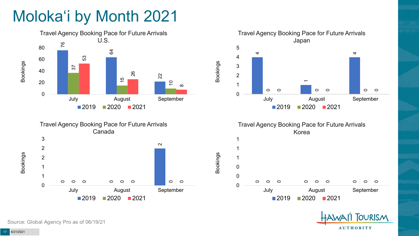## Moloka'i by Month 2021





#### Travel Agency Booking Pace for Future Arrivals Japan  $\bar{}$  $\circ$  $\circ$  $\circ$  $\circ$  $\circ$  $\circ$  July August September  $2020$   $2021$

Bookings

Bookings



2020 2021



Source: Global Agency Pro as of 06/19/21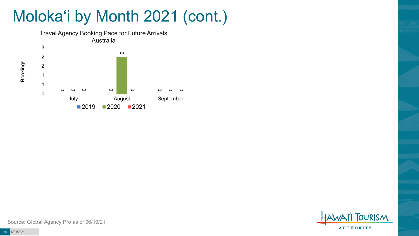### Moloka'i by Month 2021 (cont.)



**TOURISM AUTHORITY** 

Source: Global Agency Pro as of 06/19/21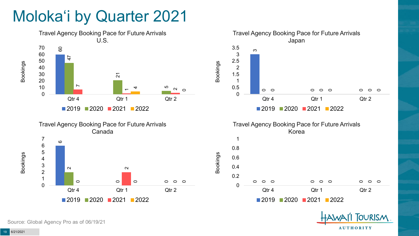### Moloka'i by Quarter 2021







2020 2021 2022

**OURISM** 

**AUTHORITY** 

Source: Global Agency Pro as of 06/19/21

6/21/2021

Bookings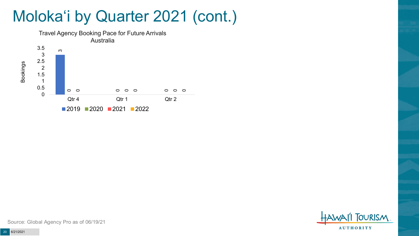#### Moloka'i by Quarter 2021 (cont.)





Source: Global Agency Pro as of 06/19/21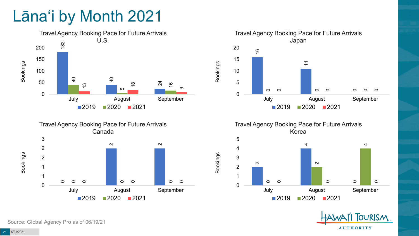### Lāna'i by Month 2021







Travel Agency Booking Pace for Future Arrivals Korea

Bookings





Source: Global Agency Pro as of 06/19/21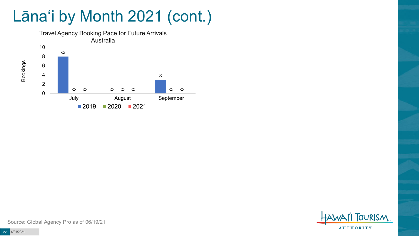### Lāna'i by Month 2021 (cont.)



**TOURISM AUTHORITY** 

Source: Global Agency Pro as of 06/19/21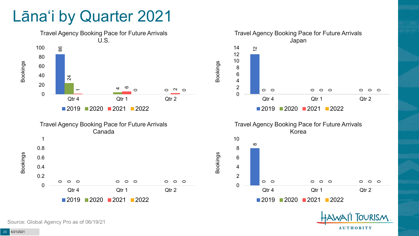#### Lāna'i by Quarter 2021



**OURISM** 

**AUTHORITY** 

Source: Global Agency Pro as of 06/19/21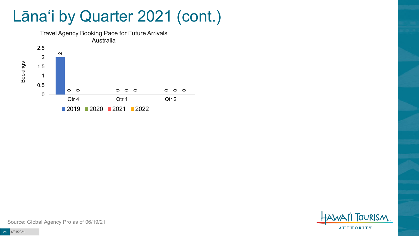#### Lāna'i by Quarter 2021 (cont.)





Source: Global Agency Pro as of 06/19/21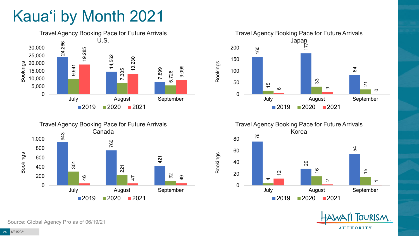## Kaua'i by Month 2021





Travel Agency Booking Pace for Future Arrivals





**TOURISM AUTHORITY** 

Source: Global Agency Pro as of 06/19/21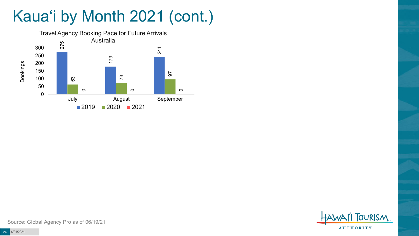## Kaua'i by Month 2021 (cont.)



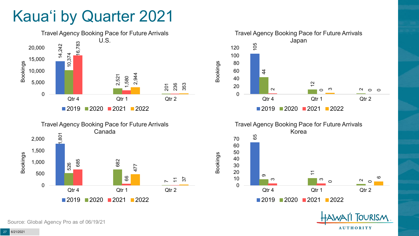#### Kaua'i by Quarter 2021









**OURISM** 

**AUTHORITY** 

Bookings

Source: Global Agency Pro as of 06/19/21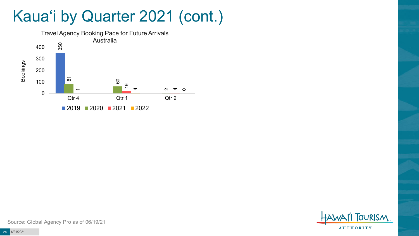#### Kaua'i by Quarter 2021 (cont.)



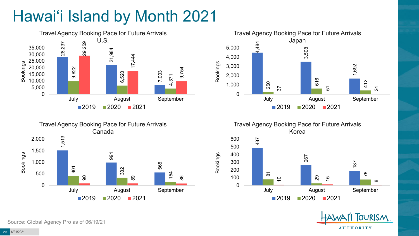## Hawai'i Island by Month 2021







Travel Agency Booking Pace for Future Arrivals Korea

Bookings





Source: Global Agency Pro as of 06/19/21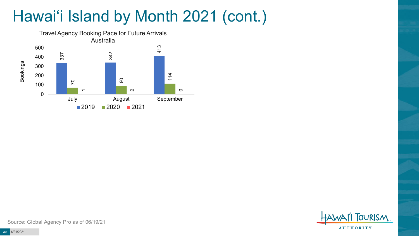## Hawai'i Island by Month 2021 (cont.)



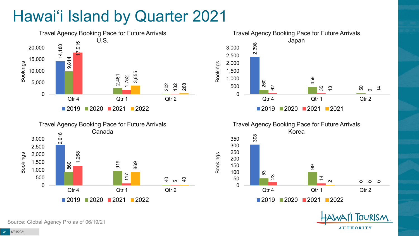## Hawai'i Island by Quarter 2021









**OURISM** 

**AUTHORITY** 

Source: Global Agency Pro as of 06/19/21